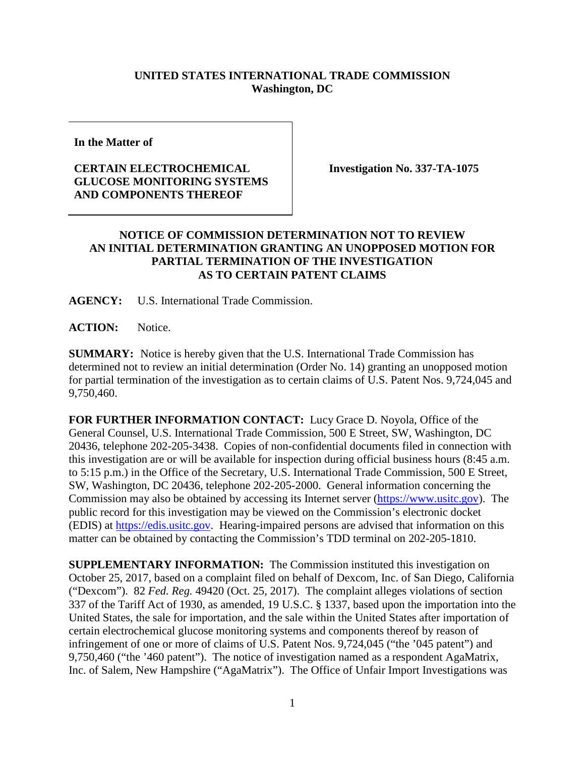## **UNITED STATES INTERNATIONAL TRADE COMMISSION Washington, DC**

**In the Matter of**

## **CERTAIN ELECTROCHEMICAL GLUCOSE MONITORING SYSTEMS AND COMPONENTS THEREOF**

**Investigation No. 337-TA-1075**

## **NOTICE OF COMMISSION DETERMINATION NOT TO REVIEW AN INITIAL DETERMINATION GRANTING AN UNOPPOSED MOTION FOR PARTIAL TERMINATION OF THE INVESTIGATION AS TO CERTAIN PATENT CLAIMS**

**AGENCY:** U.S. International Trade Commission.

**ACTION:** Notice.

**SUMMARY:** Notice is hereby given that the U.S. International Trade Commission has determined not to review an initial determination (Order No. 14) granting an unopposed motion for partial termination of the investigation as to certain claims of U.S. Patent Nos. 9,724,045 and 9,750,460.

**FOR FURTHER INFORMATION CONTACT:** Lucy Grace D. Noyola, Office of the General Counsel, U.S. International Trade Commission, 500 E Street, SW, Washington, DC 20436, telephone 202-205-3438. Copies of non-confidential documents filed in connection with this investigation are or will be available for inspection during official business hours (8:45 a.m. to 5:15 p.m.) in the Office of the Secretary, U.S. International Trade Commission, 500 E Street, SW, Washington, DC 20436, telephone 202-205-2000. General information concerning the Commission may also be obtained by accessing its Internet server [\(https://www.usitc.gov\)](https://www.usitc.gov/). The public record for this investigation may be viewed on the Commission's electronic docket (EDIS) at [https://edis.usitc.gov.](https://edis.usitc.gov/) Hearing-impaired persons are advised that information on this matter can be obtained by contacting the Commission's TDD terminal on 202-205-1810.

**SUPPLEMENTARY INFORMATION:** The Commission instituted this investigation on October 25, 2017, based on a complaint filed on behalf of Dexcom, Inc. of San Diego, California ("Dexcom"). 82 *Fed. Reg.* 49420 (Oct. 25, 2017). The complaint alleges violations of section 337 of the Tariff Act of 1930, as amended, 19 U.S.C. § 1337, based upon the importation into the United States, the sale for importation, and the sale within the United States after importation of certain electrochemical glucose monitoring systems and components thereof by reason of infringement of one or more of claims of U.S. Patent Nos. 9,724,045 ("the '045 patent") and 9,750,460 ("the '460 patent"). The notice of investigation named as a respondent AgaMatrix, Inc. of Salem, New Hampshire ("AgaMatrix"). The Office of Unfair Import Investigations was